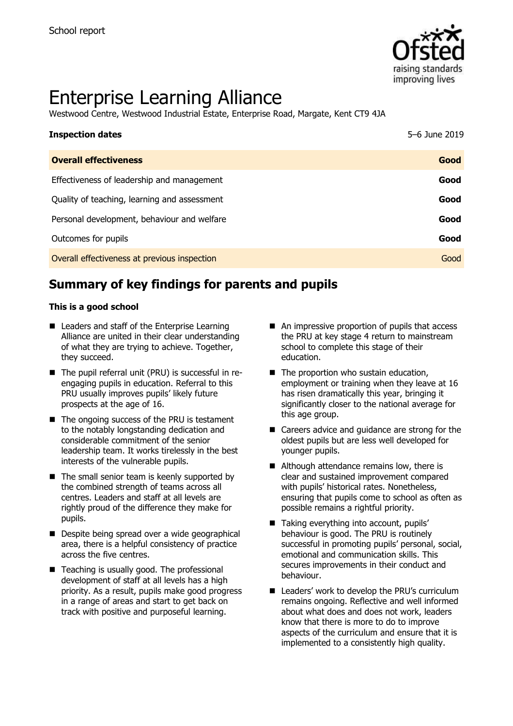

# Enterprise Learning Alliance

Westwood Centre, Westwood Industrial Estate, Enterprise Road, Margate, Kent CT9 4JA

| <b>Inspection dates</b>                      | 5-6 June 2019 |
|----------------------------------------------|---------------|
| <b>Overall effectiveness</b>                 | Good          |
| Effectiveness of leadership and management   | Good          |
| Quality of teaching, learning and assessment | Good          |
| Personal development, behaviour and welfare  | Good          |
| Outcomes for pupils                          | Good          |
| Overall effectiveness at previous inspection | Good          |

# **Summary of key findings for parents and pupils**

#### **This is a good school**

- Leaders and staff of the Enterprise Learning Alliance are united in their clear understanding of what they are trying to achieve. Together, they succeed.
- The pupil referral unit (PRU) is successful in reengaging pupils in education. Referral to this PRU usually improves pupils' likely future prospects at the age of 16.
- The ongoing success of the PRU is testament to the notably longstanding dedication and considerable commitment of the senior leadership team. It works tirelessly in the best interests of the vulnerable pupils.
- $\blacksquare$  The small senior team is keenly supported by the combined strength of teams across all centres. Leaders and staff at all levels are rightly proud of the difference they make for pupils.
- Despite being spread over a wide geographical area, there is a helpful consistency of practice across the five centres.
- Teaching is usually good. The professional development of staff at all levels has a high priority. As a result, pupils make good progress in a range of areas and start to get back on track with positive and purposeful learning.
- An impressive proportion of pupils that access the PRU at key stage 4 return to mainstream school to complete this stage of their education.
- $\blacksquare$  The proportion who sustain education, employment or training when they leave at 16 has risen dramatically this year, bringing it significantly closer to the national average for this age group.
- Careers advice and guidance are strong for the oldest pupils but are less well developed for younger pupils.
- Although attendance remains low, there is clear and sustained improvement compared with pupils' historical rates. Nonetheless, ensuring that pupils come to school as often as possible remains a rightful priority.
- Taking everything into account, pupils' behaviour is good. The PRU is routinely successful in promoting pupils' personal, social, emotional and communication skills. This secures improvements in their conduct and behaviour.
- Leaders' work to develop the PRU's curriculum remains ongoing. Reflective and well informed about what does and does not work, leaders know that there is more to do to improve aspects of the curriculum and ensure that it is implemented to a consistently high quality.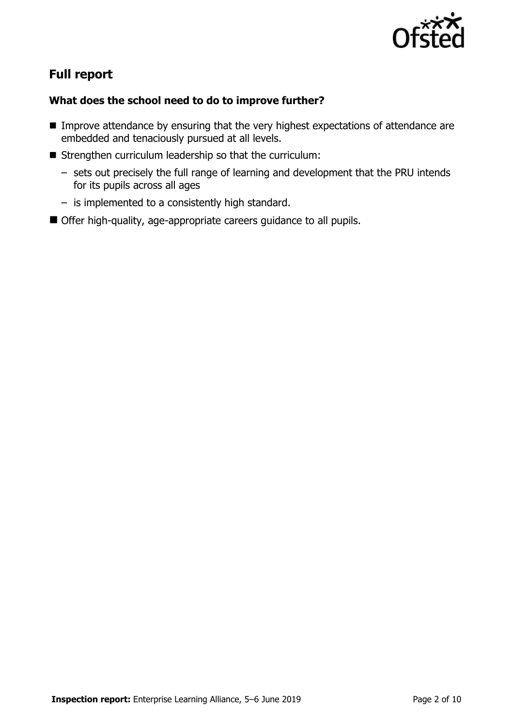

# **Full report**

#### **What does the school need to do to improve further?**

- **IMPROVE Attendance by ensuring that the very highest expectations of attendance are** embedded and tenaciously pursued at all levels.
- Strengthen curriculum leadership so that the curriculum:
	- sets out precisely the full range of learning and development that the PRU intends for its pupils across all ages
	- is implemented to a consistently high standard.
- Offer high-quality, age-appropriate careers guidance to all pupils.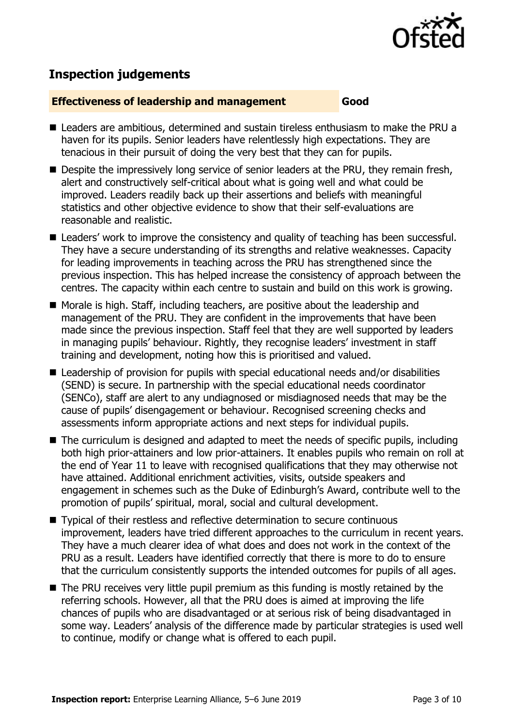

# **Inspection judgements**

#### **Effectiveness of leadership and management Good**

- Leaders are ambitious, determined and sustain tireless enthusiasm to make the PRU a haven for its pupils. Senior leaders have relentlessly high expectations. They are tenacious in their pursuit of doing the very best that they can for pupils.
- Despite the impressively long service of senior leaders at the PRU, they remain fresh, alert and constructively self-critical about what is going well and what could be improved. Leaders readily back up their assertions and beliefs with meaningful statistics and other objective evidence to show that their self-evaluations are reasonable and realistic.
- Leaders' work to improve the consistency and quality of teaching has been successful. They have a secure understanding of its strengths and relative weaknesses. Capacity for leading improvements in teaching across the PRU has strengthened since the previous inspection. This has helped increase the consistency of approach between the centres. The capacity within each centre to sustain and build on this work is growing.
- Morale is high. Staff, including teachers, are positive about the leadership and management of the PRU. They are confident in the improvements that have been made since the previous inspection. Staff feel that they are well supported by leaders in managing pupils' behaviour. Rightly, they recognise leaders' investment in staff training and development, noting how this is prioritised and valued.
- Leadership of provision for pupils with special educational needs and/or disabilities (SEND) is secure. In partnership with the special educational needs coordinator (SENCo), staff are alert to any undiagnosed or misdiagnosed needs that may be the cause of pupils' disengagement or behaviour. Recognised screening checks and assessments inform appropriate actions and next steps for individual pupils.
- The curriculum is designed and adapted to meet the needs of specific pupils, including both high prior-attainers and low prior-attainers. It enables pupils who remain on roll at the end of Year 11 to leave with recognised qualifications that they may otherwise not have attained. Additional enrichment activities, visits, outside speakers and engagement in schemes such as the Duke of Edinburgh's Award, contribute well to the promotion of pupils' spiritual, moral, social and cultural development.
- Typical of their restless and reflective determination to secure continuous improvement, leaders have tried different approaches to the curriculum in recent years. They have a much clearer idea of what does and does not work in the context of the PRU as a result. Leaders have identified correctly that there is more to do to ensure that the curriculum consistently supports the intended outcomes for pupils of all ages.
- The PRU receives very little pupil premium as this funding is mostly retained by the referring schools. However, all that the PRU does is aimed at improving the life chances of pupils who are disadvantaged or at serious risk of being disadvantaged in some way. Leaders' analysis of the difference made by particular strategies is used well to continue, modify or change what is offered to each pupil.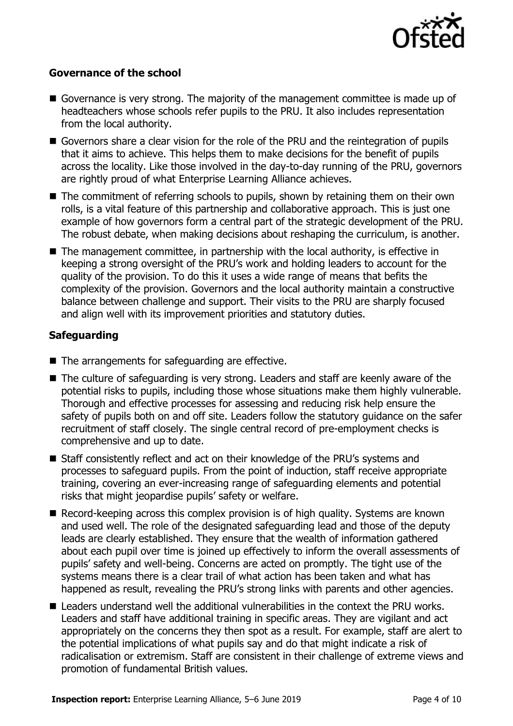

#### **Governance of the school**

- Governance is very strong. The majority of the management committee is made up of headteachers whose schools refer pupils to the PRU. It also includes representation from the local authority.
- Governors share a clear vision for the role of the PRU and the reintegration of pupils that it aims to achieve. This helps them to make decisions for the benefit of pupils across the locality. Like those involved in the day-to-day running of the PRU, governors are rightly proud of what Enterprise Learning Alliance achieves.
- The commitment of referring schools to pupils, shown by retaining them on their own rolls, is a vital feature of this partnership and collaborative approach. This is just one example of how governors form a central part of the strategic development of the PRU. The robust debate, when making decisions about reshaping the curriculum, is another.
- The management committee, in partnership with the local authority, is effective in keeping a strong oversight of the PRU's work and holding leaders to account for the quality of the provision. To do this it uses a wide range of means that befits the complexity of the provision. Governors and the local authority maintain a constructive balance between challenge and support. Their visits to the PRU are sharply focused and align well with its improvement priorities and statutory duties.

### **Safeguarding**

- The arrangements for safeguarding are effective.
- The culture of safeguarding is very strong. Leaders and staff are keenly aware of the potential risks to pupils, including those whose situations make them highly vulnerable. Thorough and effective processes for assessing and reducing risk help ensure the safety of pupils both on and off site. Leaders follow the statutory guidance on the safer recruitment of staff closely. The single central record of pre-employment checks is comprehensive and up to date.
- Staff consistently reflect and act on their knowledge of the PRU's systems and processes to safeguard pupils. From the point of induction, staff receive appropriate training, covering an ever-increasing range of safeguarding elements and potential risks that might jeopardise pupils' safety or welfare.
- Record-keeping across this complex provision is of high quality. Systems are known and used well. The role of the designated safeguarding lead and those of the deputy leads are clearly established. They ensure that the wealth of information gathered about each pupil over time is joined up effectively to inform the overall assessments of pupils' safety and well-being. Concerns are acted on promptly. The tight use of the systems means there is a clear trail of what action has been taken and what has happened as result, revealing the PRU's strong links with parents and other agencies.
- Leaders understand well the additional vulnerabilities in the context the PRU works. Leaders and staff have additional training in specific areas. They are vigilant and act appropriately on the concerns they then spot as a result. For example, staff are alert to the potential implications of what pupils say and do that might indicate a risk of radicalisation or extremism. Staff are consistent in their challenge of extreme views and promotion of fundamental British values.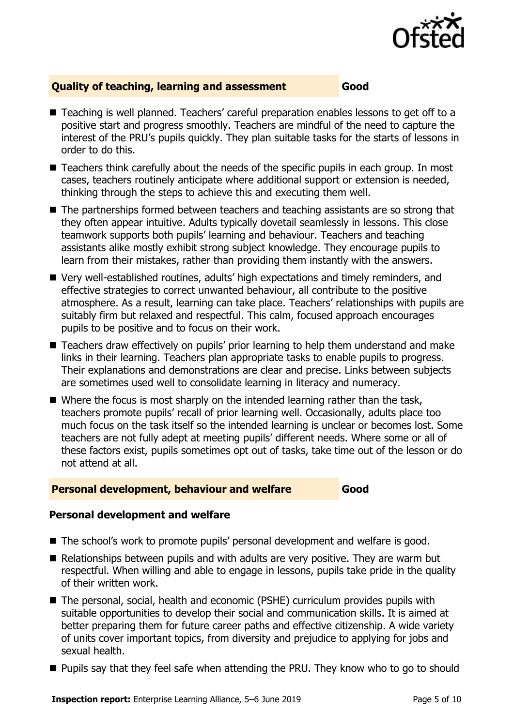

#### **Quality of teaching, learning and assessment Good**

- Teaching is well planned. Teachers' careful preparation enables lessons to get off to a positive start and progress smoothly. Teachers are mindful of the need to capture the interest of the PRU's pupils quickly. They plan suitable tasks for the starts of lessons in order to do this.
- Teachers think carefully about the needs of the specific pupils in each group. In most cases, teachers routinely anticipate where additional support or extension is needed, thinking through the steps to achieve this and executing them well.
- The partnerships formed between teachers and teaching assistants are so strong that they often appear intuitive. Adults typically dovetail seamlessly in lessons. This close teamwork supports both pupils' learning and behaviour. Teachers and teaching assistants alike mostly exhibit strong subject knowledge. They encourage pupils to learn from their mistakes, rather than providing them instantly with the answers.
- Very well-established routines, adults' high expectations and timely reminders, and effective strategies to correct unwanted behaviour, all contribute to the positive atmosphere. As a result, learning can take place. Teachers' relationships with pupils are suitably firm but relaxed and respectful. This calm, focused approach encourages pupils to be positive and to focus on their work.
- Teachers draw effectively on pupils' prior learning to help them understand and make links in their learning. Teachers plan appropriate tasks to enable pupils to progress. Their explanations and demonstrations are clear and precise. Links between subjects are sometimes used well to consolidate learning in literacy and numeracy.
- Where the focus is most sharply on the intended learning rather than the task, teachers promote pupils' recall of prior learning well. Occasionally, adults place too much focus on the task itself so the intended learning is unclear or becomes lost. Some teachers are not fully adept at meeting pupils' different needs. Where some or all of these factors exist, pupils sometimes opt out of tasks, take time out of the lesson or do not attend at all.

#### **Personal development, behaviour and welfare <b>Cood**

#### **Personal development and welfare**

- The school's work to promote pupils' personal development and welfare is good.
- Relationships between pupils and with adults are very positive. They are warm but respectful. When willing and able to engage in lessons, pupils take pride in the quality of their written work.
- The personal, social, health and economic (PSHE) curriculum provides pupils with suitable opportunities to develop their social and communication skills. It is aimed at better preparing them for future career paths and effective citizenship. A wide variety of units cover important topics, from diversity and prejudice to applying for jobs and sexual health.
- Pupils say that they feel safe when attending the PRU. They know who to go to should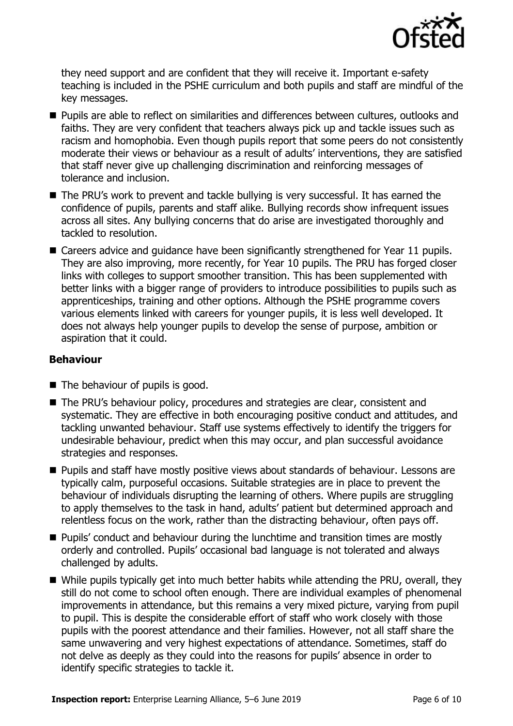

they need support and are confident that they will receive it. Important e-safety teaching is included in the PSHE curriculum and both pupils and staff are mindful of the key messages.

- **Pupils are able to reflect on similarities and differences between cultures, outlooks and** faiths. They are very confident that teachers always pick up and tackle issues such as racism and homophobia. Even though pupils report that some peers do not consistently moderate their views or behaviour as a result of adults' interventions, they are satisfied that staff never give up challenging discrimination and reinforcing messages of tolerance and inclusion.
- The PRU's work to prevent and tackle bullying is very successful. It has earned the confidence of pupils, parents and staff alike. Bullying records show infrequent issues across all sites. Any bullying concerns that do arise are investigated thoroughly and tackled to resolution.
- Careers advice and guidance have been significantly strengthened for Year 11 pupils. They are also improving, more recently, for Year 10 pupils. The PRU has forged closer links with colleges to support smoother transition. This has been supplemented with better links with a bigger range of providers to introduce possibilities to pupils such as apprenticeships, training and other options. Although the PSHE programme covers various elements linked with careers for younger pupils, it is less well developed. It does not always help younger pupils to develop the sense of purpose, ambition or aspiration that it could.

#### **Behaviour**

- $\blacksquare$  The behaviour of pupils is good.
- The PRU's behaviour policy, procedures and strategies are clear, consistent and systematic. They are effective in both encouraging positive conduct and attitudes, and tackling unwanted behaviour. Staff use systems effectively to identify the triggers for undesirable behaviour, predict when this may occur, and plan successful avoidance strategies and responses.
- **Pupils and staff have mostly positive views about standards of behaviour. Lessons are** typically calm, purposeful occasions. Suitable strategies are in place to prevent the behaviour of individuals disrupting the learning of others. Where pupils are struggling to apply themselves to the task in hand, adults' patient but determined approach and relentless focus on the work, rather than the distracting behaviour, often pays off.
- **Pupils'** conduct and behaviour during the lunchtime and transition times are mostly orderly and controlled. Pupils' occasional bad language is not tolerated and always challenged by adults.
- While pupils typically get into much better habits while attending the PRU, overall, they still do not come to school often enough. There are individual examples of phenomenal improvements in attendance, but this remains a very mixed picture, varying from pupil to pupil. This is despite the considerable effort of staff who work closely with those pupils with the poorest attendance and their families. However, not all staff share the same unwavering and very highest expectations of attendance. Sometimes, staff do not delve as deeply as they could into the reasons for pupils' absence in order to identify specific strategies to tackle it.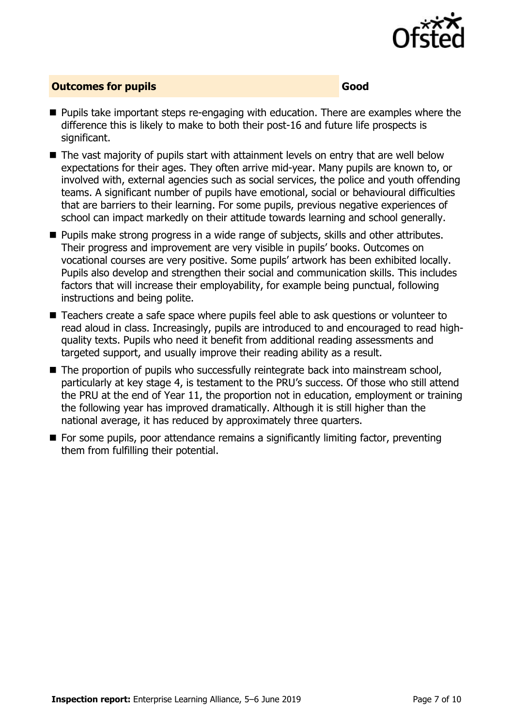

#### **Outcomes for pupils Good Good**

- **Pupils take important steps re-engaging with education. There are examples where the** difference this is likely to make to both their post-16 and future life prospects is significant.
- The vast majority of pupils start with attainment levels on entry that are well below expectations for their ages. They often arrive mid-year. Many pupils are known to, or involved with, external agencies such as social services, the police and youth offending teams. A significant number of pupils have emotional, social or behavioural difficulties that are barriers to their learning. For some pupils, previous negative experiences of school can impact markedly on their attitude towards learning and school generally.
- **Pupils make strong progress in a wide range of subjects, skills and other attributes.** Their progress and improvement are very visible in pupils' books. Outcomes on vocational courses are very positive. Some pupils' artwork has been exhibited locally. Pupils also develop and strengthen their social and communication skills. This includes factors that will increase their employability, for example being punctual, following instructions and being polite.
- Teachers create a safe space where pupils feel able to ask questions or volunteer to read aloud in class. Increasingly, pupils are introduced to and encouraged to read highquality texts. Pupils who need it benefit from additional reading assessments and targeted support, and usually improve their reading ability as a result.
- The proportion of pupils who successfully reintegrate back into mainstream school, particularly at key stage 4, is testament to the PRU's success. Of those who still attend the PRU at the end of Year 11, the proportion not in education, employment or training the following year has improved dramatically. Although it is still higher than the national average, it has reduced by approximately three quarters.
- For some pupils, poor attendance remains a significantly limiting factor, preventing them from fulfilling their potential.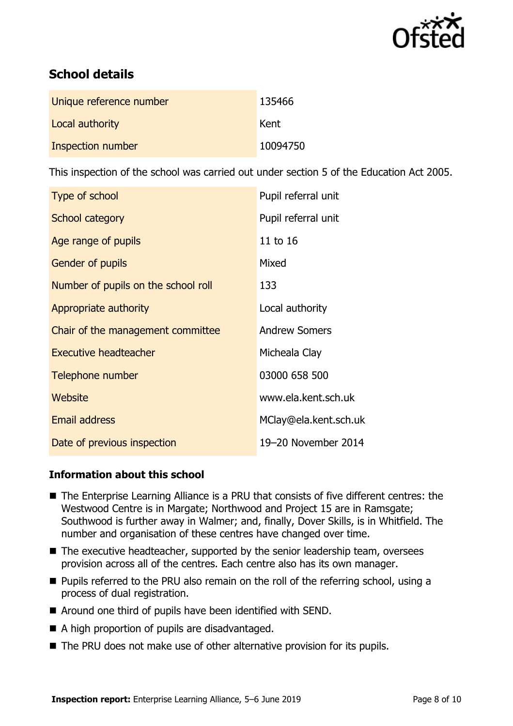

# **School details**

| Unique reference number | 135466   |
|-------------------------|----------|
| Local authority         | Kent     |
| Inspection number       | 10094750 |

This inspection of the school was carried out under section 5 of the Education Act 2005.

| Type of school                      | Pupil referral unit   |
|-------------------------------------|-----------------------|
| School category                     | Pupil referral unit   |
| Age range of pupils                 | 11 to 16              |
| Gender of pupils                    | Mixed                 |
| Number of pupils on the school roll | 133                   |
| Appropriate authority               | Local authority       |
| Chair of the management committee   | <b>Andrew Somers</b>  |
| <b>Executive headteacher</b>        | Micheala Clay         |
| Telephone number                    | 03000 658 500         |
| Website                             | www.ela.kent.sch.uk   |
| <b>Email address</b>                | MClay@ela.kent.sch.uk |
| Date of previous inspection         | 19-20 November 2014   |

#### **Information about this school**

- The Enterprise Learning Alliance is a PRU that consists of five different centres: the Westwood Centre is in Margate; Northwood and Project 15 are in Ramsgate; Southwood is further away in Walmer; and, finally, Dover Skills, is in Whitfield. The number and organisation of these centres have changed over time.
- $\blacksquare$  The executive headteacher, supported by the senior leadership team, oversees provision across all of the centres. Each centre also has its own manager.
- **Pupils referred to the PRU also remain on the roll of the referring school, using a** process of dual registration.
- Around one third of pupils have been identified with SEND.
- A high proportion of pupils are disadvantaged.
- The PRU does not make use of other alternative provision for its pupils.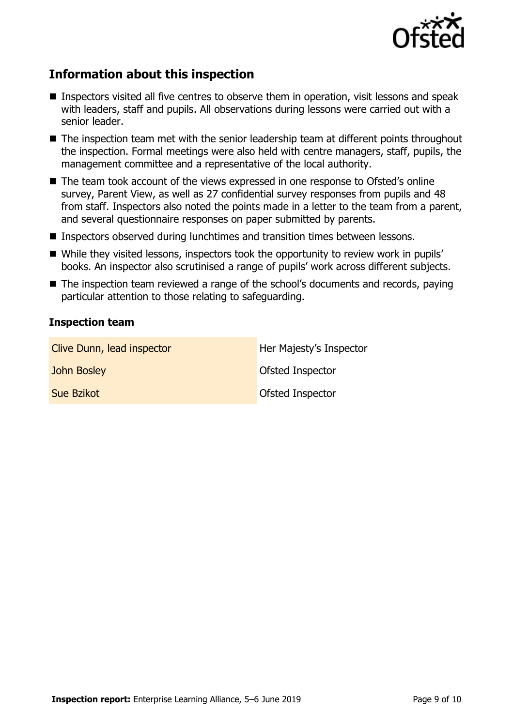

# **Information about this inspection**

- Inspectors visited all five centres to observe them in operation, visit lessons and speak with leaders, staff and pupils. All observations during lessons were carried out with a senior leader.
- The inspection team met with the senior leadership team at different points throughout the inspection. Formal meetings were also held with centre managers, staff, pupils, the management committee and a representative of the local authority.
- The team took account of the views expressed in one response to Ofsted's online survey, Parent View, as well as 27 confidential survey responses from pupils and 48 from staff. Inspectors also noted the points made in a letter to the team from a parent, and several questionnaire responses on paper submitted by parents.
- Inspectors observed during lunchtimes and transition times between lessons.
- While they visited lessons, inspectors took the opportunity to review work in pupils' books. An inspector also scrutinised a range of pupils' work across different subjects.
- The inspection team reviewed a range of the school's documents and records, paving particular attention to those relating to safeguarding.

#### **Inspection team**

| Clive Dunn, lead inspector | Her Majesty's Inspector |
|----------------------------|-------------------------|
| John Bosley                | Ofsted Inspector        |
| <b>Sue Bzikot</b>          | Ofsted Inspector        |